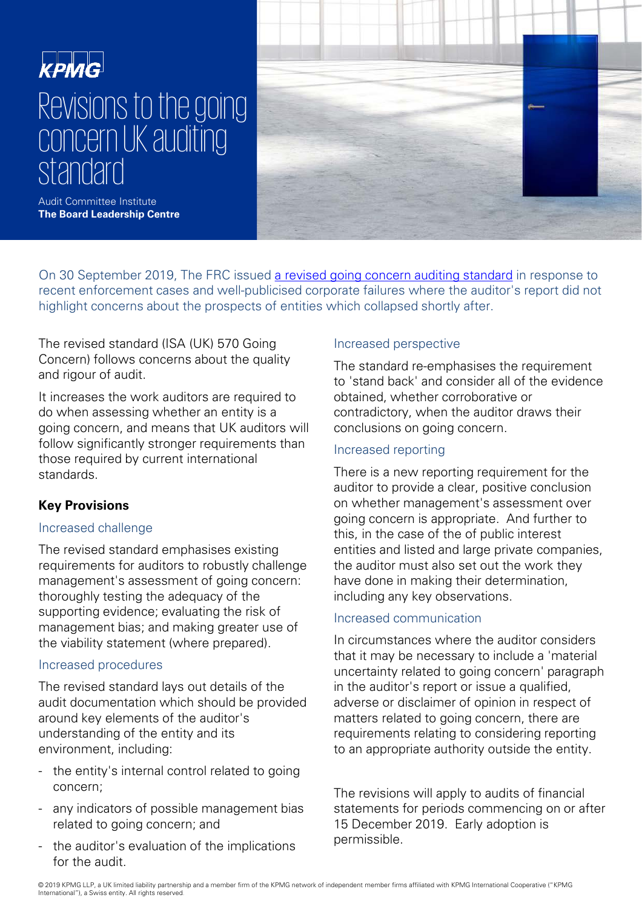# **KPMG** Revisions to the going concern UK auditing standard



Audit Committee Institute **The Board Leadership Centre**

On 30 September 2019, The FRC issued [a revised going concern auditing standard](https://www.frc.org.uk/news/september-2019/frc-strengthens-going-concern-audit-standard) in response to recent enforcement cases and well-publicised corporate failures where the auditor's report did not highlight concerns about the prospects of entities which collapsed shortly after.

The revised standard (ISA (UK) 570 Going Concern) follows concerns about the quality and rigour of audit.

It increases the work auditors are required to do when assessing whether an entity is a going concern, and means that UK auditors will follow significantly stronger requirements than those required by current international standards.

# **Key Provisions**

### Increased challenge

The revised standard emphasises existing requirements for auditors to robustly challenge management's assessment of going concern: thoroughly testing the adequacy of the supporting evidence; evaluating the risk of management bias; and making greater use of the viability statement (where prepared).

### Increased procedures

The revised standard lays out details of the audit documentation which should be provided around key elements of the auditor's understanding of the entity and its environment, including:

- the entity's internal control related to going concern;
- any indicators of possible management bias related to going concern; and
- the auditor's evaluation of the implications for the audit.

# Increased perspective

The standard re-emphasises the requirement to 'stand back' and consider all of the evidence obtained, whether corroborative or contradictory, when the auditor draws their conclusions on going concern.

## Increased reporting

There is a new reporting requirement for the auditor to provide a clear, positive conclusion on whether management's assessment over going concern is appropriate. And further to this, in the case of the of public interest entities and listed and large private companies, the auditor must also set out the work they have done in making their determination, including any key observations.

# Increased communication

In circumstances where the auditor considers that it may be necessary to include a 'material uncertainty related to going concern' paragraph in the auditor's report or issue a qualified, adverse or disclaimer of opinion in respect of matters related to going concern, there are requirements relating to considering reporting to an appropriate authority outside the entity.

The revisions will apply to audits of financial statements for periods commencing on or after 15 December 2019. Early adoption is permissible.